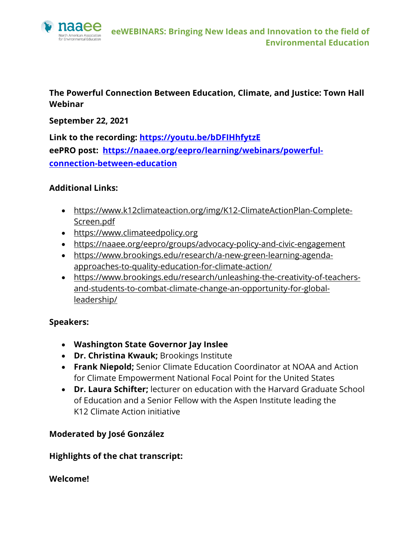

## **The Powerful Connection Between Education, Climate, and Justice: Town Hall Webinar**

**September 22, 2021**

**Link to the recording: https://youtu.be/bDFIHhfytzE eePRO post: https://naaee.org/eepro/learning/webinars/powerfulconnection-between-education**

#### **Additional Links:**

- https://www.k12climateaction.org/img/K12-ClimateActionPlan-Complete-Screen.pdf
- https://www.climateedpolicy.org
- https://naaee.org/eepro/groups/advocacy-policy-and-civic-engagement
- https://www.brookings.edu/research/a-new-green-learning-agendaapproaches-to-quality-education-for-climate-action/
- https://www.brookings.edu/research/unleashing-the-creativity-of-teachersand-students-to-combat-climate-change-an-opportunity-for-globalleadership/

#### **Speakers:**

- **Washington State Governor Jay Inslee**
- **Dr. Christina Kwauk;** Brookings Institute
- **Frank Niepold;** Senior Climate Education Coordinator at NOAA and Action for Climate Empowerment National Focal Point for the United States
- **Dr. Laura Schifter;** lecturer on education with the Harvard Graduate School of Education and a Senior Fellow with the Aspen Institute leading the K12 Climate Action initiative

# **Moderated by José González**

#### **Highlights of the chat transcript:**

#### **Welcome!**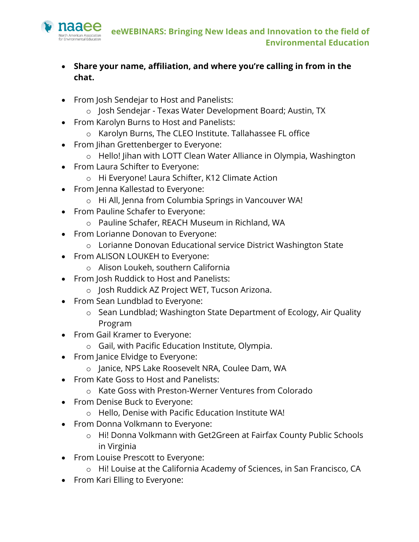

- **Share your name, affiliation, and where you're calling in from in the chat.**
- From Josh Sendejar to Host and Panelists:
	- o Josh Sendejar Texas Water Development Board; Austin, TX
- From Karolyn Burns to Host and Panelists:
	- o Karolyn Burns, The CLEO Institute. Tallahassee FL office
- From Jihan Grettenberger to Everyone:
	- o Hello! Jihan with LOTT Clean Water Alliance in Olympia, Washington
- From Laura Schifter to Everyone:
	- o Hi Everyone! Laura Schifter, K12 Climate Action
- From Jenna Kallestad to Everyone:
	- o Hi All, Jenna from Columbia Springs in Vancouver WA!
- From Pauline Schafer to Everyone:
	- o Pauline Schafer, REACH Museum in Richland, WA
- From Lorianne Donovan to Everyone:
	- o Lorianne Donovan Educational service District Washington State
- From ALISON LOUKEH to Everyone:
	- o Alison Loukeh, southern California
- From Josh Ruddick to Host and Panelists:
	- o Josh Ruddick AZ Project WET, Tucson Arizona.
- From Sean Lundblad to Everyone:
	- o Sean Lundblad; Washington State Department of Ecology, Air Quality Program
- From Gail Kramer to Everyone:
	- o Gail, with Pacific Education Institute, Olympia.
- From Janice Elvidge to Everyone:
	- o Janice, NPS Lake Roosevelt NRA, Coulee Dam, WA
- From Kate Goss to Host and Panelists:
	- o Kate Goss with Preston-Werner Ventures from Colorado
- From Denise Buck to Everyone:
	- o Hello, Denise with Pacific Education Institute WA!
- From Donna Volkmann to Everyone:
	- o Hi! Donna Volkmann with Get2Green at Fairfax County Public Schools in Virginia
- From Louise Prescott to Everyone:
	- o Hi! Louise at the California Academy of Sciences, in San Francisco, CA
- From Kari Elling to Everyone: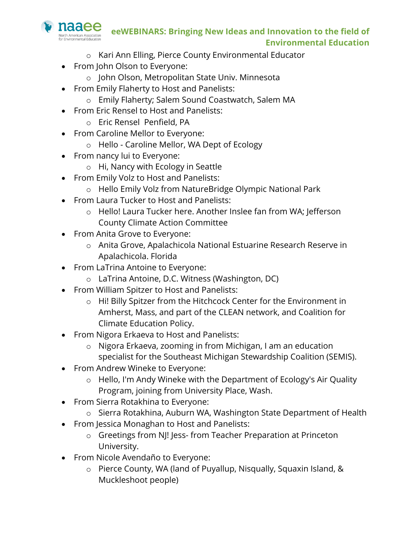

- o Kari Ann Elling, Pierce County Environmental Educator
- From John Olson to Everyone:
	- o John Olson, Metropolitan State Univ. Minnesota
- From Emily Flaherty to Host and Panelists:
	- o Emily Flaherty; Salem Sound Coastwatch, Salem MA
- From Eric Rensel to Host and Panelists:
	- o Eric Rensel Penfield, PA
- From Caroline Mellor to Everyone:
	- o Hello Caroline Mellor, WA Dept of Ecology
- From nancy lui to Everyone:
	- o Hi, Nancy with Ecology in Seattle
- From Emily Volz to Host and Panelists:
	- o Hello Emily Volz from NatureBridge Olympic National Park
- From Laura Tucker to Host and Panelists:
	- o Hello! Laura Tucker here. Another Inslee fan from WA; Jefferson County Climate Action Committee
- From Anita Grove to Everyone:
	- o Anita Grove, Apalachicola National Estuarine Research Reserve in Apalachicola. Florida
- From LaTrina Antoine to Everyone:
	- o LaTrina Antoine, D.C. Witness (Washington, DC)
- From William Spitzer to Host and Panelists:
	- o Hi! Billy Spitzer from the Hitchcock Center for the Environment in Amherst, Mass, and part of the CLEAN network, and Coalition for Climate Education Policy.
- From Nigora Erkaeva to Host and Panelists:
	- o Nigora Erkaeva, zooming in from Michigan, I am an education specialist for the Southeast Michigan Stewardship Coalition (SEMIS).
- From Andrew Wineke to Everyone:
	- o Hello, I'm Andy Wineke with the Department of Ecology's Air Quality Program, joining from University Place, Wash.
- From Sierra Rotakhina to Everyone:
	- o Sierra Rotakhina, Auburn WA, Washington State Department of Health
- From Jessica Monaghan to Host and Panelists:
	- o Greetings from NJ! Jess- from Teacher Preparation at Princeton University.
- From Nicole Avendaño to Everyone:
	- o Pierce County, WA (land of Puyallup, Nisqually, Squaxin Island, & Muckleshoot people)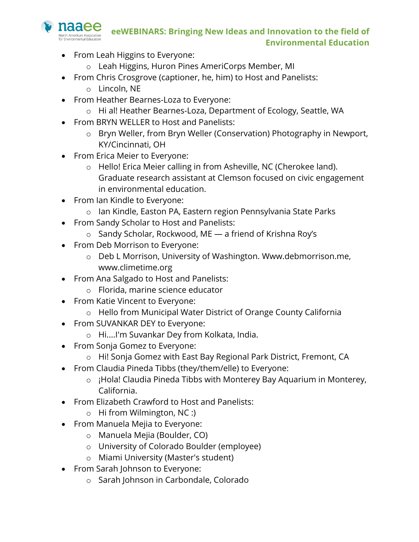

- From Leah Higgins to Everyone:
	- o Leah Higgins, Huron Pines AmeriCorps Member, MI
- From Chris Crosgrove (captioner, he, him) to Host and Panelists:
	- o Lincoln, NE
- From Heather Bearnes-Loza to Everyone:
	- o Hi al! Heather Bearnes-Loza, Department of Ecology, Seattle, WA
- From BRYN WELLER to Host and Panelists:
	- o Bryn Weller, from Bryn Weller (Conservation) Photography in Newport, KY/Cincinnati, OH
- From Erica Meier to Everyone:
	- o Hello! Erica Meier calling in from Asheville, NC (Cherokee land). Graduate research assistant at Clemson focused on civic engagement in environmental education.
- From Ian Kindle to Everyone:
	- o Ian Kindle, Easton PA, Eastern region Pennsylvania State Parks
- From Sandy Scholar to Host and Panelists:
	- o Sandy Scholar, Rockwood, ME a friend of Krishna Roy's
- From Deb Morrison to Everyone:
	- o Deb L Morrison, University of Washington. Www.debmorrison.me, www.climetime.org
- From Ana Salgado to Host and Panelists:
	- o Florida, marine science educator
- From Katie Vincent to Everyone:
	- o Hello from Municipal Water District of Orange County California
- From SUVANKAR DEY to Everyone:
	- o Hi....I'm Suvankar Dey from Kolkata, India.
- From Sonja Gomez to Everyone:
	- o Hi! Sonja Gomez with East Bay Regional Park District, Fremont, CA
- From Claudia Pineda Tibbs (they/them/elle) to Everyone:
	- o ¡Hola! Claudia Pineda Tibbs with Monterey Bay Aquarium in Monterey, California.
- From Elizabeth Crawford to Host and Panelists:
	- o Hi from Wilmington, NC :)
- From Manuela Mejia to Everyone:
	- o Manuela Mejia (Boulder, CO)
	- o University of Colorado Boulder (employee)
	- o Miami University (Master's student)
- From Sarah Johnson to Everyone:
	- o Sarah Johnson in Carbondale, Colorado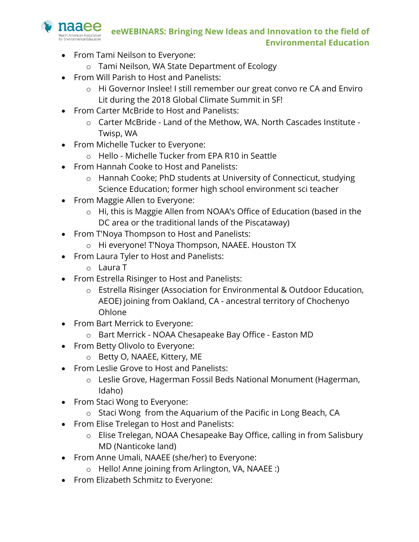

- From Tami Neilson to Everyone:
	- o Tami Neilson, WA State Department of Ecology
- From Will Parish to Host and Panelists:
	- o Hi Governor Inslee! I still remember our great convo re CA and Enviro Lit during the 2018 Global Climate Summit in SF!
- From Carter McBride to Host and Panelists:
	- o Carter McBride Land of the Methow, WA. North Cascades Institute Twisp, WA
- From Michelle Tucker to Everyone:
	- o Hello Michelle Tucker from EPA R10 in Seattle
- From Hannah Cooke to Host and Panelists:
	- o Hannah Cooke; PhD students at University of Connecticut, studying Science Education; former high school environment sci teacher
- From Maggie Allen to Everyone:
	- o Hi, this is Maggie Allen from NOAA's Office of Education (based in the DC area or the traditional lands of the Piscataway)
- From T'Noya Thompson to Host and Panelists:
	- o Hi everyone! T'Noya Thompson, NAAEE. Houston TX
- From Laura Tyler to Host and Panelists:
	- o Laura T
- From Estrella Risinger to Host and Panelists:
	- o Estrella Risinger (Association for Environmental & Outdoor Education, AEOE) joining from Oakland, CA - ancestral territory of Chochenyo Ohlone
- From Bart Merrick to Everyone:
	- o Bart Merrick NOAA Chesapeake Bay Office Easton MD
- From Betty Olivolo to Everyone:
	- o Betty O, NAAEE, Kittery, ME
- From Leslie Grove to Host and Panelists:
	- o Leslie Grove, Hagerman Fossil Beds National Monument (Hagerman, Idaho)
- From Staci Wong to Everyone:
	- o Staci Wong from the Aquarium of the Pacific in Long Beach, CA
- From Elise Trelegan to Host and Panelists:
	- o Elise Trelegan, NOAA Chesapeake Bay Office, calling in from Salisbury MD (Nanticoke land)
- From Anne Umali, NAAEE (she/her) to Everyone:
	- o Hello! Anne joining from Arlington, VA, NAAEE :)
- From Elizabeth Schmitz to Everyone: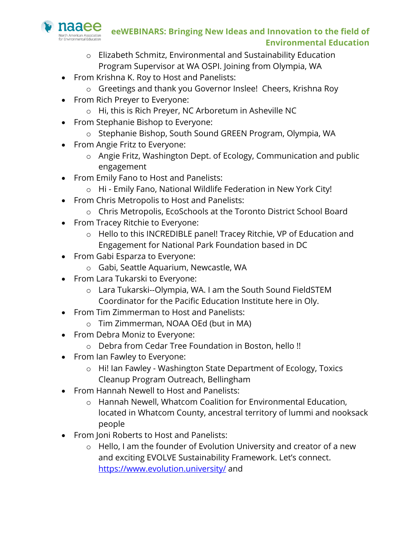

- o Elizabeth Schmitz, Environmental and Sustainability Education Program Supervisor at WA OSPI. Joining from Olympia, WA
- From Krishna K. Roy to Host and Panelists:
	- o Greetings and thank you Governor Inslee! Cheers, Krishna Roy
- From Rich Preyer to Everyone:
	- o Hi, this is Rich Preyer, NC Arboretum in Asheville NC
- From Stephanie Bishop to Everyone:
	- o Stephanie Bishop, South Sound GREEN Program, Olympia, WA
- From Angie Fritz to Everyone:
	- o Angie Fritz, Washington Dept. of Ecology, Communication and public engagement
- From Emily Fano to Host and Panelists:
	- o Hi Emily Fano, National Wildlife Federation in New York City!
- From Chris Metropolis to Host and Panelists:
	- o Chris Metropolis, EcoSchools at the Toronto District School Board
- From Tracey Ritchie to Everyone:
	- o Hello to this INCREDIBLE panel! Tracey Ritchie, VP of Education and Engagement for National Park Foundation based in DC
- From Gabi Esparza to Everyone:
	- o Gabi, Seattle Aquarium, Newcastle, WA
- From Lara Tukarski to Everyone:
	- o Lara Tukarski--Olympia, WA. I am the South Sound FieldSTEM Coordinator for the Pacific Education Institute here in Oly.
- From Tim Zimmerman to Host and Panelists:
	- o Tim Zimmerman, NOAA OEd (but in MA)
- From Debra Moniz to Everyone:
	- o Debra from Cedar Tree Foundation in Boston, hello !!
- From Ian Fawley to Everyone:
	- o Hi! Ian Fawley Washington State Department of Ecology, Toxics Cleanup Program Outreach, Bellingham
- From Hannah Newell to Host and Panelists:
	- o Hannah Newell, Whatcom Coalition for Environmental Education, located in Whatcom County, ancestral territory of lummi and nooksack people
- From Joni Roberts to Host and Panelists:
	- $\circ$  Hello, I am the founder of Evolution University and creator of a new and exciting EVOLVE Sustainability Framework. Let's connect. https://www.evolution.university/ and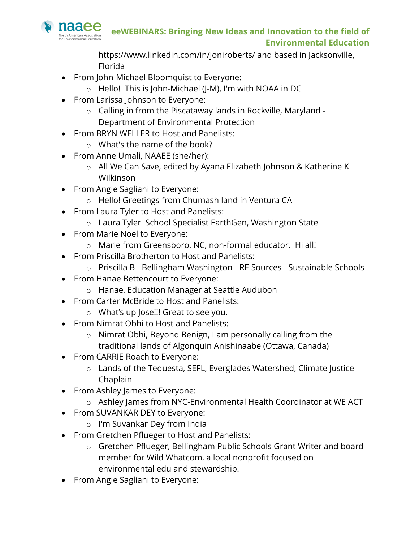

https://www.linkedin.com/in/joniroberts/ and based in Jacksonville, Florida

- From John-Michael Bloomquist to Everyone:
	- o Hello! This is John-Michael (J-M), I'm with NOAA in DC
- From Larissa Johnson to Everyone:
	- o Calling in from the Piscataway lands in Rockville, Maryland Department of Environmental Protection
- From BRYN WELLER to Host and Panelists:
	- o What's the name of the book?
- From Anne Umali, NAAEE (she/her):
	- o All We Can Save, edited by Ayana Elizabeth Johnson & Katherine K Wilkinson
- From Angie Sagliani to Everyone:
	- o Hello! Greetings from Chumash land in Ventura CA
- From Laura Tyler to Host and Panelists:
	- o Laura Tyler School Specialist EarthGen, Washington State
- From Marie Noel to Everyone:
	- o Marie from Greensboro, NC, non-formal educator. Hi all!
- From Priscilla Brotherton to Host and Panelists:
	- o Priscilla B Bellingham Washington RE Sources Sustainable Schools
- From Hanae Bettencourt to Everyone:
	- o Hanae, Education Manager at Seattle Audubon
- From Carter McBride to Host and Panelists:
	- o What's up Jose!!! Great to see you.
- From Nimrat Obhi to Host and Panelists:
	- o Nimrat Obhi, Beyond Benign, I am personally calling from the traditional lands of Algonquin Anishinaabe (Ottawa, Canada)
- From CARRIE Roach to Everyone:
	- o Lands of the Tequesta, SEFL, Everglades Watershed, Climate Justice Chaplain
- From Ashley James to Everyone:
	- o Ashley James from NYC-Environmental Health Coordinator at WE ACT
- From SUVANKAR DEY to Everyone:
	- o I'm Suvankar Dey from India
- From Gretchen Pflueger to Host and Panelists:
	- o Gretchen Pflueger, Bellingham Public Schools Grant Writer and board member for Wild Whatcom, a local nonprofit focused on environmental edu and stewardship.
- From Angie Sagliani to Everyone: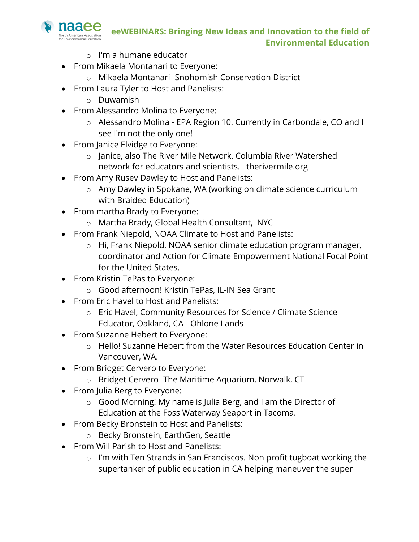- o I'm a humane educator
- From Mikaela Montanari to Everyone:
	- o Mikaela Montanari- Snohomish Conservation District
- From Laura Tyler to Host and Panelists:
	- o Duwamish

naaee orth American Association

- From Alessandro Molina to Everyone:
	- o Alessandro Molina EPA Region 10. Currently in Carbondale, CO and I see I'm not the only one!
- From Janice Elvidge to Everyone:
	- o Janice, also The River Mile Network, Columbia River Watershed network for educators and scientists. therivermile.org
- From Amy Rusev Dawley to Host and Panelists:
	- o Amy Dawley in Spokane, WA (working on climate science curriculum with Braided Education)
- From martha Brady to Everyone:
	- o Martha Brady, Global Health Consultant, NYC
- From Frank Niepold, NOAA Climate to Host and Panelists:
	- o Hi, Frank Niepold, NOAA senior climate education program manager, coordinator and Action for Climate Empowerment National Focal Point for the United States.
- From Kristin TePas to Everyone:
	- o Good afternoon! Kristin TePas, IL-IN Sea Grant
- From Eric Havel to Host and Panelists:
	- o Eric Havel, Community Resources for Science / Climate Science Educator, Oakland, CA - Ohlone Lands
- From Suzanne Hebert to Everyone:
	- o Hello! Suzanne Hebert from the Water Resources Education Center in Vancouver, WA.
- From Bridget Cervero to Everyone:
	- o Bridget Cervero- The Maritime Aquarium, Norwalk, CT
- From Julia Berg to Everyone:
	- o Good Morning! My name is Julia Berg, and I am the Director of Education at the Foss Waterway Seaport in Tacoma.
- From Becky Bronstein to Host and Panelists:
	- o Becky Bronstein, EarthGen, Seattle
- From Will Parish to Host and Panelists:
	- o I'm with Ten Strands in San Franciscos. Non profit tugboat working the supertanker of public education in CA helping maneuver the super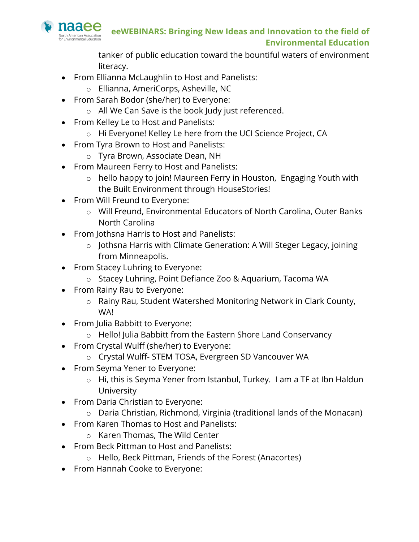

tanker of public education toward the bountiful waters of environment literacy.

- From Ellianna McLaughlin to Host and Panelists:
	- o Ellianna, AmeriCorps, Asheville, NC
- From Sarah Bodor (she/her) to Everyone:
	- o All We Can Save is the book Judy just referenced.
- From Kelley Le to Host and Panelists:
- o Hi Everyone! Kelley Le here from the UCI Science Project, CA
- From Tyra Brown to Host and Panelists:
	- o Tyra Brown, Associate Dean, NH
- From Maureen Ferry to Host and Panelists:
	- o hello happy to join! Maureen Ferry in Houston, Engaging Youth with the Built Environment through HouseStories!
- From Will Freund to Everyone:
	- o Will Freund, Environmental Educators of North Carolina, Outer Banks North Carolina
- From Jothsna Harris to Host and Panelists:
	- o Jothsna Harris with Climate Generation: A Will Steger Legacy, joining from Minneapolis.
- From Stacey Luhring to Everyone:
	- o Stacey Luhring, Point Defiance Zoo & Aquarium, Tacoma WA
- From Rainy Rau to Everyone:
	- o Rainy Rau, Student Watershed Monitoring Network in Clark County, WA!
- From Julia Babbitt to Everyone:
	- o Hello! Julia Babbitt from the Eastern Shore Land Conservancy
- From Crystal Wulff (she/her) to Everyone:
	- o Crystal Wulff- STEM TOSA, Evergreen SD Vancouver WA
- From Seyma Yener to Everyone:
	- o Hi, this is Seyma Yener from Istanbul, Turkey. I am a TF at Ibn Haldun University
- From Daria Christian to Everyone:
	- o Daria Christian, Richmond, Virginia (traditional lands of the Monacan)
- From Karen Thomas to Host and Panelists:
	- o Karen Thomas, The Wild Center
- From Beck Pittman to Host and Panelists:
	- o Hello, Beck Pittman, Friends of the Forest (Anacortes)
- From Hannah Cooke to Everyone: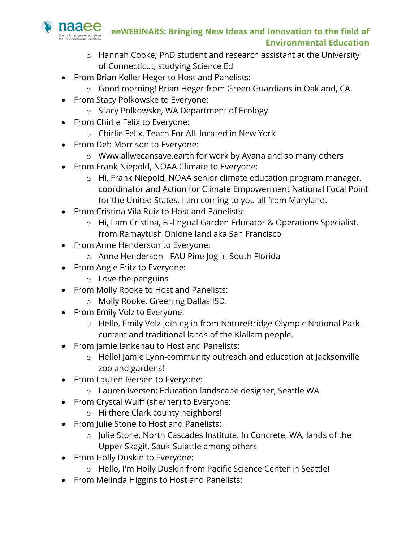

- o Hannah Cooke; PhD student and research assistant at the University of Connecticut, studying Science Ed
- From Brian Keller Heger to Host and Panelists:
	- o Good morning! Brian Heger from Green Guardians in Oakland, CA.
- From Stacy Polkowske to Everyone:
	- o Stacy Polkowske, WA Department of Ecology
- From Chirlie Felix to Everyone:
	- o Chirlie Felix, Teach For All, located in New York
- From Deb Morrison to Everyone:
	- o Www.allwecansave.earth for work by Ayana and so many others
- From Frank Niepold, NOAA Climate to Everyone:
	- o Hi, Frank Niepold, NOAA senior climate education program manager, coordinator and Action for Climate Empowerment National Focal Point for the United States. I am coming to you all from Maryland.
- From Cristina Vila Ruiz to Host and Panelists:
	- o Hi, I am Cristina, Bi-lingual Garden Educator & Operations Specialist, from Ramaytush Ohlone land aka San Francisco
- From Anne Henderson to Everyone:
	- o Anne Henderson FAU Pine Jog in South Florida
- From Angie Fritz to Everyone:
	- o Love the penguins
- From Molly Rooke to Host and Panelists:
	- o Molly Rooke. Greening Dallas ISD.
- From Emily Volz to Everyone:
	- o Hello, Emily Volz joining in from NatureBridge Olympic National Parkcurrent and traditional lands of the Klallam people.
- From jamie lankenau to Host and Panelists:
	- o Hello! Jamie Lynn-community outreach and education at Jacksonville zoo and gardens!
- From Lauren Iversen to Everyone:
	- o Lauren Iversen; Education landscape designer, Seattle WA
- From Crystal Wulff (she/her) to Everyone:
	- o Hi there Clark county neighbors!
- From Julie Stone to Host and Panelists:
	- o Julie Stone, North Cascades Institute. In Concrete, WA, lands of the Upper Skagit, Sauk-Suiattle among others
- From Holly Duskin to Everyone:
	- o Hello, I'm Holly Duskin from Pacific Science Center in Seattle!
- From Melinda Higgins to Host and Panelists: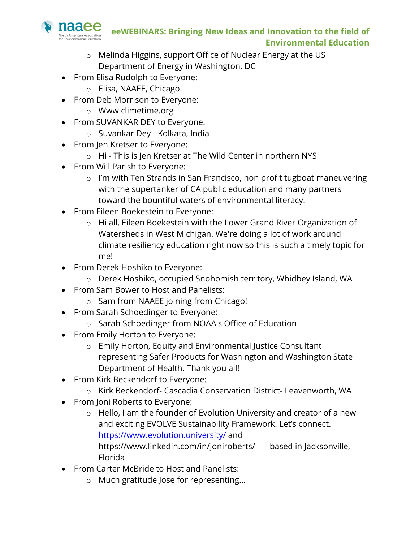

- o Melinda Higgins, support Office of Nuclear Energy at the US Department of Energy in Washington, DC
- From Elisa Rudolph to Everyone:
	- o Elisa, NAAEE, Chicago!
- From Deb Morrison to Everyone:
	- o Www.climetime.org
- From SUVANKAR DEY to Everyone:
	- o Suvankar Dey Kolkata, India
- From Jen Kretser to Everyone:
	- o Hi This is Jen Kretser at The Wild Center in northern NYS
- From Will Parish to Everyone:
	- o I'm with Ten Strands in San Francisco, non profit tugboat maneuvering with the supertanker of CA public education and many partners toward the bountiful waters of environmental literacy.
- From Eileen Boekestein to Everyone:
	- o Hi all, Eileen Boekestein with the Lower Grand River Organization of Watersheds in West Michigan. We're doing a lot of work around climate resiliency education right now so this is such a timely topic for me!
- From Derek Hoshiko to Everyone:
	- o Derek Hoshiko, occupied Snohomish territory, Whidbey Island, WA
- From Sam Bower to Host and Panelists:
	- o Sam from NAAEE joining from Chicago!
- From Sarah Schoedinger to Everyone:
	- o Sarah Schoedinger from NOAA's Office of Education
- From Emily Horton to Everyone:
	- o Emily Horton, Equity and Environmental Justice Consultant representing Safer Products for Washington and Washington State Department of Health. Thank you all!
- From Kirk Beckendorf to Everyone:
	- o Kirk Beckendorf- Cascadia Conservation District- Leavenworth, WA
- From Joni Roberts to Everyone:
	- o Hello, I am the founder of Evolution University and creator of a new and exciting EVOLVE Sustainability Framework. Let's connect. https://www.evolution.university/ and https://www.linkedin.com/in/joniroberts/ — based in Jacksonville, Florida
- From Carter McBride to Host and Panelists:
	- o Much gratitude Jose for representing…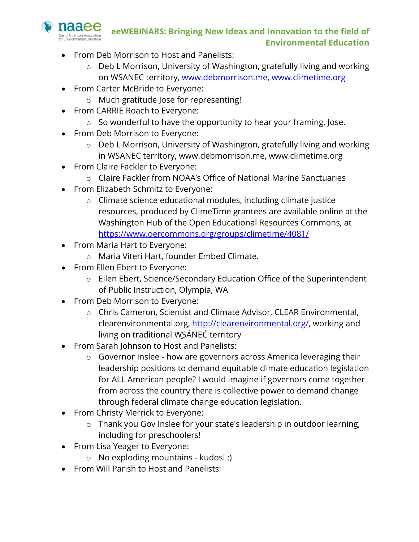

- From Deb Morrison to Host and Panelists:
	- o Deb L Morrison, University of Washington, gratefully living and working on WSANEC territory, www.debmorrison.me, www.climetime.org
- From Carter McBride to Everyone:
	- o Much gratitude Jose for representing!
- From CARRIE Roach to Everyone:
	- o So wonderful to have the opportunity to hear your framing, Jose.
- From Deb Morrison to Everyone:
	- o Deb L Morrison, University of Washington, gratefully living and working in WSANEC territory, www.debmorrison.me, www.climetime.org
- From Claire Fackler to Everyone:
	- o Claire Fackler from NOAA's Office of National Marine Sanctuaries
- From Elizabeth Schmitz to Everyone:
	- o Climate science educational modules, including climate justice resources, produced by ClimeTime grantees are available online at the Washington Hub of the Open Educational Resources Commons, at https://www.oercommons.org/groups/climetime/4081/
- From Maria Hart to Everyone:
	- o Maria Viteri Hart, founder Embed Climate.
- From Ellen Ebert to Everyone:
	- o Ellen Ebert, Science/Secondary Education Office of the Superintendent of Public Instruction, Olympia, WA
- From Deb Morrison to Everyone:
	- o Chris Cameron, Scientist and Climate Advisor, CLEAR Environmental, clearenvironmental.org, http://clearenvironmental.org/, working and living on traditional W̱SÁNEĆ territory
- From Sarah Johnson to Host and Panelists:
	- o Governor Inslee how are governors across America leveraging their leadership positions to demand equitable climate education legislation for ALL American people? I would imagine if governors come together from across the country there is collective power to demand change through federal climate change education legislation.
- From Christy Merrick to Everyone:
	- o Thank you Gov Inslee for your state's leadership in outdoor learning, including for preschoolers!
- From Lisa Yeager to Everyone:
	- o No exploding mountains kudos! :)
- From Will Parish to Host and Panelists: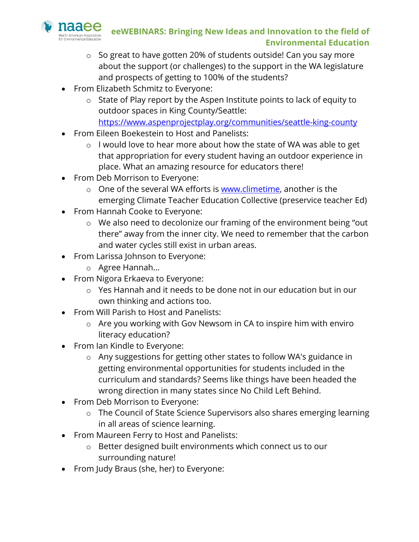

- o So great to have gotten 20% of students outside! Can you say more about the support (or challenges) to the support in the WA legislature and prospects of getting to 100% of the students?
- From Elizabeth Schmitz to Everyone:
	- o State of Play report by the Aspen Institute points to lack of equity to outdoor spaces in King County/Seattle:

https://www.aspenprojectplay.org/communities/seattle-king-county

- From Eileen Boekestein to Host and Panelists:
	- o I would love to hear more about how the state of WA was able to get that appropriation for every student having an outdoor experience in place. What an amazing resource for educators there!
- From Deb Morrison to Everyone:
	- o One of the several WA efforts is www.climetime, another is the emerging Climate Teacher Education Collective (preservice teacher Ed)
- From Hannah Cooke to Everyone:
	- o We also need to decolonize our framing of the environment being "out there" away from the inner city. We need to remember that the carbon and water cycles still exist in urban areas.
- From Larissa Johnson to Everyone:
	- o Agree Hannah...
- From Nigora Erkaeva to Everyone:
	- o Yes Hannah and it needs to be done not in our education but in our own thinking and actions too.
- From Will Parish to Host and Panelists:
	- o Are you working with Gov Newsom in CA to inspire him with enviro literacy education?
- From Ian Kindle to Everyone:
	- o Any suggestions for getting other states to follow WA's guidance in getting environmental opportunities for students included in the curriculum and standards? Seems like things have been headed the wrong direction in many states since No Child Left Behind.
- From Deb Morrison to Everyone:
	- o The Council of State Science Supervisors also shares emerging learning in all areas of science learning.
- From Maureen Ferry to Host and Panelists:
	- o Better designed built environments which connect us to our surrounding nature!
- From Judy Braus (she, her) to Everyone: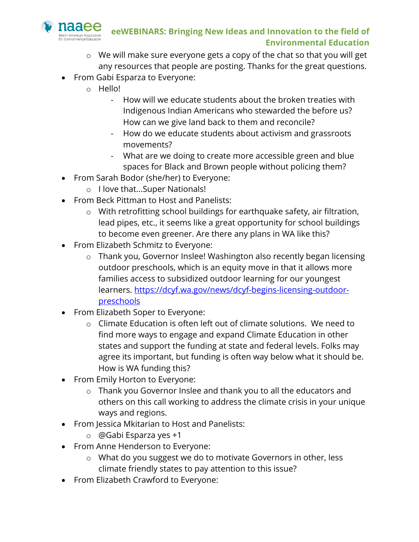

- o We will make sure everyone gets a copy of the chat so that you will get any resources that people are posting. Thanks for the great questions.
- From Gabi Esparza to Everyone:
	- o Hello!
		- How will we educate students about the broken treaties with Indigenous Indian Americans who stewarded the before us? How can we give land back to them and reconcile?
		- How do we educate students about activism and grassroots movements?
		- What are we doing to create more accessible green and blue spaces for Black and Brown people without policing them?
- From Sarah Bodor (she/her) to Everyone:
	- o I love that...Super Nationals!
- From Beck Pittman to Host and Panelists:
	- o With retrofitting school buildings for earthquake safety, air filtration, lead pipes, etc., it seems like a great opportunity for school buildings to become even greener. Are there any plans in WA like this?
- From Elizabeth Schmitz to Everyone:
	- o Thank you, Governor Inslee! Washington also recently began licensing outdoor preschools, which is an equity move in that it allows more families access to subsidized outdoor learning for our youngest learners. https://dcyf.wa.gov/news/dcyf-begins-licensing-outdoorpreschools
- From Elizabeth Soper to Everyone:
	- o Climate Education is often left out of climate solutions. We need to find more ways to engage and expand Climate Education in other states and support the funding at state and federal levels. Folks may agree its important, but funding is often way below what it should be. How is WA funding this?
- From Emily Horton to Everyone:
	- o Thank you Governor Inslee and thank you to all the educators and others on this call working to address the climate crisis in your unique ways and regions.
- From Jessica Mkitarian to Host and Panelists:
	- o @Gabi Esparza yes +1
- From Anne Henderson to Everyone:
	- o What do you suggest we do to motivate Governors in other, less climate friendly states to pay attention to this issue?
- From Elizabeth Crawford to Everyone: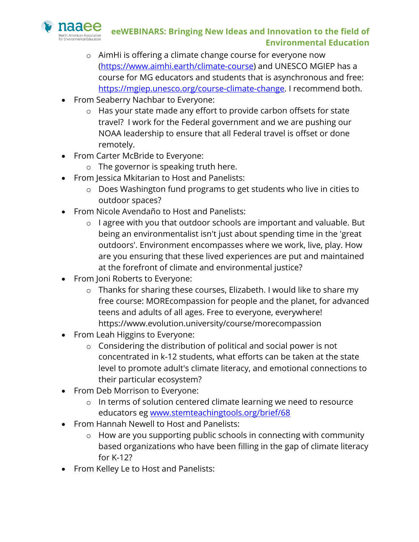

- o AimHi is offering a climate change course for everyone now (https://www.aimhi.earth/climate-course) and UNESCO MGIEP has a course for MG educators and students that is asynchronous and free: https://mgiep.unesco.org/course-climate-change. I recommend both.
- From Seaberry Nachbar to Everyone:
	- o Has your state made any effort to provide carbon offsets for state travel? I work for the Federal government and we are pushing our NOAA leadership to ensure that all Federal travel is offset or done remotely.
- From Carter McBride to Everyone:
	- o The governor is speaking truth here.
- From Jessica Mkitarian to Host and Panelists:
	- o Does Washington fund programs to get students who live in cities to outdoor spaces?
- From Nicole Avendaño to Host and Panelists:
	- o I agree with you that outdoor schools are important and valuable. But being an environmentalist isn't just about spending time in the 'great outdoors'. Environment encompasses where we work, live, play. How are you ensuring that these lived experiences are put and maintained at the forefront of climate and environmental justice?
- From Joni Roberts to Everyone:
	- o Thanks for sharing these courses, Elizabeth. I would like to share my free course: MOREcompassion for people and the planet, for advanced teens and adults of all ages. Free to everyone, everywhere! https://www.evolution.university/course/morecompassion
- From Leah Higgins to Everyone:
	- o Considering the distribution of political and social power is not concentrated in k-12 students, what efforts can be taken at the state level to promote adult's climate literacy, and emotional connections to their particular ecosystem?
- From Deb Morrison to Everyone:
	- o In terms of solution centered climate learning we need to resource educators eg www.stemteachingtools.org/brief/68
- From Hannah Newell to Host and Panelists:
	- o How are you supporting public schools in connecting with community based organizations who have been filling in the gap of climate literacy for K-12?
- From Kelley Le to Host and Panelists: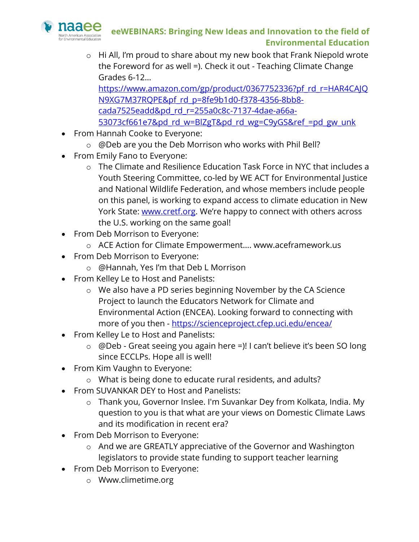

o Hi All, I'm proud to share about my new book that Frank Niepold wrote the Foreword for as well =). Check it out - Teaching Climate Change Grades 6-12…

https://www.amazon.com/gp/product/0367752336?pf\_rd\_r=HAR4CAJQ N9XG7M37RQPE&pf\_rd\_p=8fe9b1d0-f378-4356-8bb8cada7525eadd&pd\_rd\_r=255a0c8c-7137-4dae-a66a-53073cf661e7&pd\_rd\_w=BlZgT&pd\_rd\_wg=C9yGS&ref\_=pd\_gw\_unk

- From Hannah Cooke to Everyone:
	- o @Deb are you the Deb Morrison who works with Phil Bell?
- From Emily Fano to Everyone:
	- o The Climate and Resilience Education Task Force in NYC that includes a Youth Steering Committee, co-led by WE ACT for Environmental Justice and National Wildlife Federation, and whose members include people on this panel, is working to expand access to climate education in New York State: www.cretf.org. We're happy to connect with others across the U.S. working on the same goal!
- From Deb Morrison to Everyone:
	- o ACE Action for Climate Empowerment…. www.aceframework.us
- From Deb Morrison to Everyone:
	- o @Hannah, Yes I'm that Deb L Morrison
- From Kelley Le to Host and Panelists:
	- o We also have a PD series beginning November by the CA Science Project to launch the Educators Network for Climate and Environmental Action (ENCEA). Looking forward to connecting with more of you then - https://scienceproject.cfep.uci.edu/encea/
- From Kelley Le to Host and Panelists:
	- o @Deb Great seeing you again here =)! I can't believe it's been SO long since ECCLPs. Hope all is well!
- From Kim Vaughn to Everyone:
	- o What is being done to educate rural residents, and adults?
- From SUVANKAR DEY to Host and Panelists:
	- o Thank you, Governor Inslee. I'm Suvankar Dey from Kolkata, India. My question to you is that what are your views on Domestic Climate Laws and its modification in recent era?
- From Deb Morrison to Everyone:
	- o And we are GREATLY appreciative of the Governor and Washington legislators to provide state funding to support teacher learning
- From Deb Morrison to Everyone:
	- o Www.climetime.org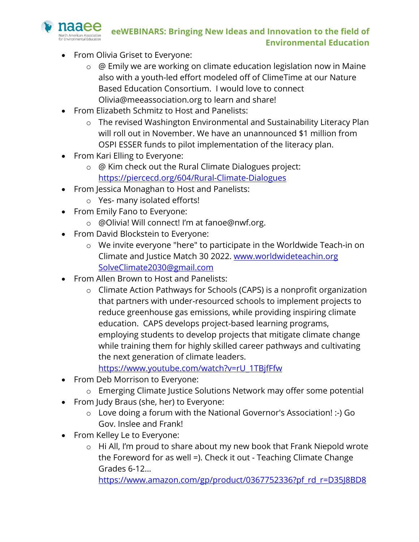

- From Olivia Griset to Everyone:
	- o @ Emily we are working on climate education legislation now in Maine also with a youth-led effort modeled off of ClimeTime at our Nature Based Education Consortium. I would love to connect Olivia@meeassociation.org to learn and share!
- From Elizabeth Schmitz to Host and Panelists:
	- o The revised Washington Environmental and Sustainability Literacy Plan will roll out in November. We have an unannounced \$1 million from OSPI ESSER funds to pilot implementation of the literacy plan.
- From Kari Elling to Everyone:
	- o @ Kim check out the Rural Climate Dialogues project: https://piercecd.org/604/Rural-Climate-Dialogues
- From Jessica Monaghan to Host and Panelists:
	- o Yes- many isolated efforts!
- From Emily Fano to Everyone:
	- o @Olivia! Will connect! I'm at fanoe@nwf.org.
- From David Blockstein to Everyone:
	- o We invite everyone "here" to participate in the Worldwide Teach-in on Climate and Justice Match 30 2022. www.worldwideteachin.org SolveClimate2030@gmail.com
- From Allen Brown to Host and Panelists:
	- o Climate Action Pathways for Schools (CAPS) is a nonprofit organization that partners with under-resourced schools to implement projects to reduce greenhouse gas emissions, while providing inspiring climate education. CAPS develops project-based learning programs, employing students to develop projects that mitigate climate change while training them for highly skilled career pathways and cultivating the next generation of climate leaders.

https://www.youtube.com/watch?v=rU\_1TBjfFfw

- From Deb Morrison to Everyone:
	- o Emerging Climate Justice Solutions Network may offer some potential
- From Judy Braus (she, her) to Everyone:
	- o Love doing a forum with the National Governor's Association! :-) Go Gov. Inslee and Frank!
- From Kelley Le to Everyone:
	- o Hi All, I'm proud to share about my new book that Frank Niepold wrote the Foreword for as well =). Check it out - Teaching Climate Change Grades 6-12…

https://www.amazon.com/gp/product/0367752336?pf\_rd\_r=D35J8BD8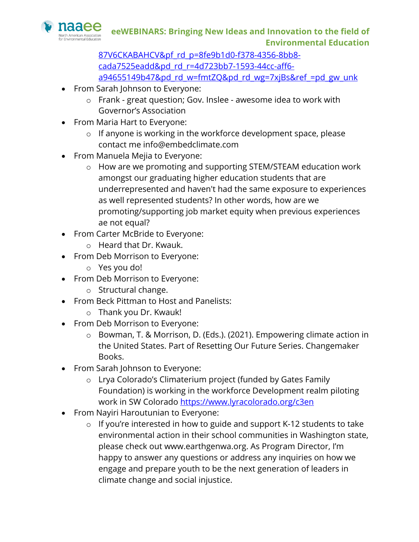

87V6CKABAHCV&pf rd p=8fe9b1d0-f378-4356-8bb8cada7525eadd&pd\_rd\_r=4d723bb7-1593-44cc-aff6 a94655149b47&pd\_rd\_w=fmtZQ&pd\_rd\_wg=7xjBs&ref\_=pd\_gw\_unk

- From Sarah Johnson to Everyone:
	- o Frank great question; Gov. Inslee awesome idea to work with Governor's Association
- From Maria Hart to Everyone:
	- o If anyone is working in the workforce development space, please contact me info@embedclimate.com
- From Manuela Mejia to Everyone:
	- o How are we promoting and supporting STEM/STEAM education work amongst our graduating higher education students that are underrepresented and haven't had the same exposure to experiences as well represented students? In other words, how are we promoting/supporting job market equity when previous experiences ae not equal?
- From Carter McBride to Everyone:
	- o Heard that Dr. Kwauk.
- From Deb Morrison to Everyone:
	- o Yes you do!
- From Deb Morrison to Everyone:
	- o Structural change.
- From Beck Pittman to Host and Panelists:
	- o Thank you Dr. Kwauk!
- From Deb Morrison to Everyone:
	- o Bowman, T. & Morrison, D. (Eds.). (2021). Empowering climate action in the United States. Part of Resetting Our Future Series. Changemaker Books.
- From Sarah Johnson to Everyone:
	- o Lrya Colorado's Climaterium project (funded by Gates Family Foundation) is working in the workforce Development realm piloting work in SW Colorado https://www.lyracolorado.org/c3en
- From Nayiri Haroutunian to Everyone:
	- $\circ$  If you're interested in how to guide and support K-12 students to take environmental action in their school communities in Washington state, please check out www.earthgenwa.org. As Program Director, I'm happy to answer any questions or address any inquiries on how we engage and prepare youth to be the next generation of leaders in climate change and social injustice.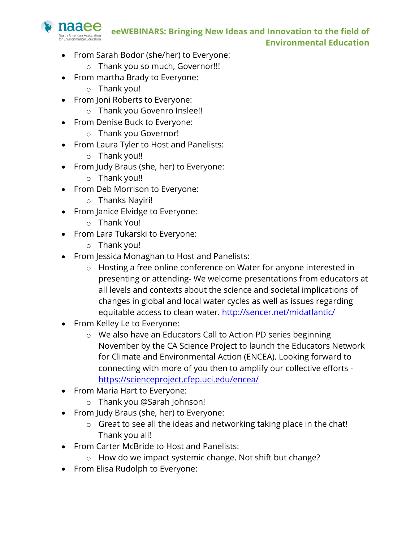

- From Sarah Bodor (she/her) to Everyone:
	- o Thank you so much, Governor!!!
- From martha Brady to Everyone:
	- o Thank you!
- From Joni Roberts to Everyone:
	- o Thank you Govenro Inslee!!
- From Denise Buck to Everyone:
	- o Thank you Governor!
- From Laura Tyler to Host and Panelists:
	- o Thank you!!
- From Judy Braus (she, her) to Everyone:
	- o Thank you!!
- From Deb Morrison to Everyone:
	- o Thanks Nayiri!
- From Janice Elvidge to Everyone:
	- o Thank You!
- From Lara Tukarski to Everyone:
	- o Thank you!
- From Jessica Monaghan to Host and Panelists:
	- o Hosting a free online conference on Water for anyone interested in presenting or attending- We welcome presentations from educators at all levels and contexts about the science and societal implications of changes in global and local water cycles as well as issues regarding equitable access to clean water. http://sencer.net/midatlantic/
- From Kelley Le to Everyone:
	- o We also have an Educators Call to Action PD series beginning November by the CA Science Project to launch the Educators Network for Climate and Environmental Action (ENCEA). Looking forward to connecting with more of you then to amplify our collective efforts https://scienceproject.cfep.uci.edu/encea/
- From Maria Hart to Everyone:
	- o Thank you @Sarah Johnson!
- From Judy Braus (she, her) to Everyone:
	- o Great to see all the ideas and networking taking place in the chat! Thank you all!
- From Carter McBride to Host and Panelists:
	- o How do we impact systemic change. Not shift but change?
- From Elisa Rudolph to Everyone: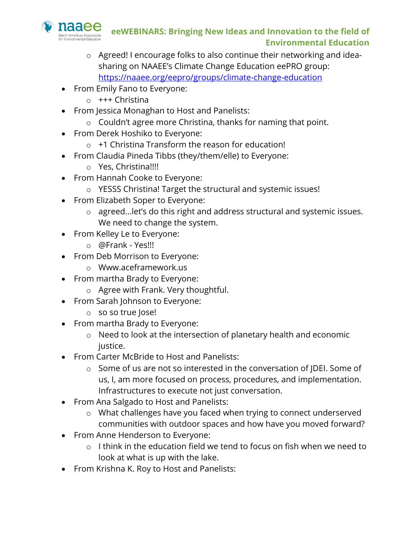

- o Agreed! I encourage folks to also continue their networking and ideasharing on NAAEE's Climate Change Education eePRO group: https://naaee.org/eepro/groups/climate-change-education
- From Emily Fano to Everyone:
	- o +++ Christina
- From Jessica Monaghan to Host and Panelists:
	- o Couldn't agree more Christina, thanks for naming that point.
- From Derek Hoshiko to Everyone:
	- $\circ$  +1 Christina Transform the reason for education!
- From Claudia Pineda Tibbs (they/them/elle) to Everyone:
	- o Yes, Christina!!!!
- From Hannah Cooke to Everyone:
	- o YESSS Christina! Target the structural and systemic issues!
- From Elizabeth Soper to Everyone:
	- o agreed...let's do this right and address structural and systemic issues. We need to change the system.
- From Kelley Le to Everyone:
	- o @Frank Yes!!!
- From Deb Morrison to Everyone:
	- o Www.aceframework.us
- From martha Brady to Everyone:
	- o Agree with Frank. Very thoughtful.
- From Sarah Johnson to Everyone:
	- o so so true Jose!
- From martha Brady to Everyone:
	- o Need to look at the intersection of planetary health and economic justice.
- From Carter McBride to Host and Panelists:
	- o Some of us are not so interested in the conversation of JDEI. Some of us, I, am more focused on process, procedures, and implementation. Infrastructures to execute not just conversation.
- From Ana Salgado to Host and Panelists:
	- o What challenges have you faced when trying to connect underserved communities with outdoor spaces and how have you moved forward?
- From Anne Henderson to Everyone:
	- $\circ$  I think in the education field we tend to focus on fish when we need to look at what is up with the lake.
- From Krishna K. Roy to Host and Panelists: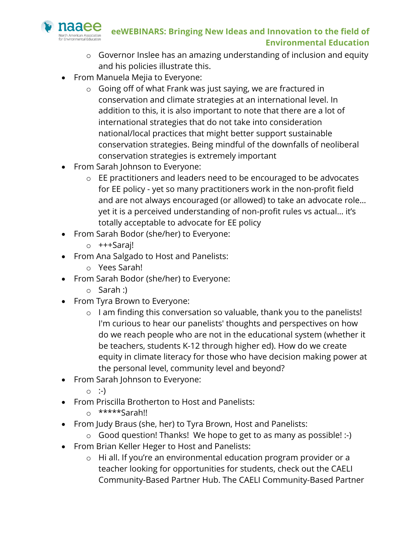

- o Governor Inslee has an amazing understanding of inclusion and equity and his policies illustrate this.
- From Manuela Mejia to Everyone:
	- o Going off of what Frank was just saying, we are fractured in conservation and climate strategies at an international level. In addition to this, it is also important to note that there are a lot of international strategies that do not take into consideration national/local practices that might better support sustainable conservation strategies. Being mindful of the downfalls of neoliberal conservation strategies is extremely important
- From Sarah Johnson to Everyone:
	- o EE practitioners and leaders need to be encouraged to be advocates for EE policy - yet so many practitioners work in the non-profit field and are not always encouraged (or allowed) to take an advocate role… yet it is a perceived understanding of non-profit rules vs actual… it's totally acceptable to advocate for EE policy
- From Sarah Bodor (she/her) to Everyone:
	- o +++Saraj!
- From Ana Salgado to Host and Panelists:
	- o Yees Sarah!
- From Sarah Bodor (she/her) to Everyone:
	- o Sarah :)
- From Tyra Brown to Everyone:
	- o I am finding this conversation so valuable, thank you to the panelists! I'm curious to hear our panelists' thoughts and perspectives on how do we reach people who are not in the educational system (whether it be teachers, students K-12 through higher ed). How do we create equity in climate literacy for those who have decision making power at the personal level, community level and beyond?
- From Sarah Johnson to Everyone:
	- $\circ$  :-)
- From Priscilla Brotherton to Host and Panelists:
	- o \*\*\*\*\*Sarah!!
- From Judy Braus (she, her) to Tyra Brown, Host and Panelists:
	- o Good question! Thanks! We hope to get to as many as possible! :-)
- From Brian Keller Heger to Host and Panelists:
	- o Hi all. If you're an environmental education program provider or a teacher looking for opportunities for students, check out the CAELI Community-Based Partner Hub. The CAELI Community-Based Partner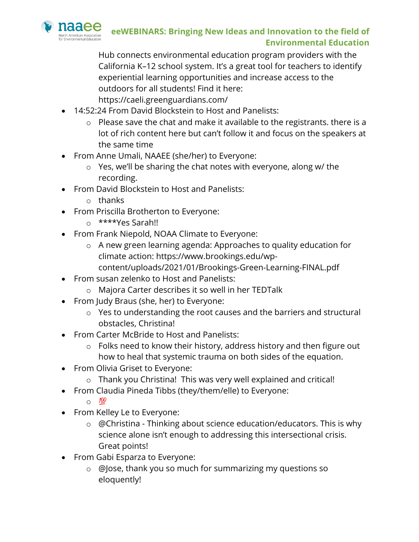

Hub connects environmental education program providers with the California K–12 school system. It's a great tool for teachers to identify experiential learning opportunities and increase access to the outdoors for all students! Find it here: https://caeli.greenguardians.com/

- 14:52:24 From David Blockstein to Host and Panelists:
	- o Please save the chat and make it available to the registrants. there is a lot of rich content here but can't follow it and focus on the speakers at the same time
- From Anne Umali, NAAEE (she/her) to Everyone:
	- o Yes, we'll be sharing the chat notes with everyone, along w/ the recording.
- From David Blockstein to Host and Panelists:
	- o thanks
- From Priscilla Brotherton to Everyone:
	- o \*\*\*\*Yes Sarah!!
- From Frank Niepold, NOAA Climate to Everyone:
	- o A new green learning agenda: Approaches to quality education for climate action: https://www.brookings.edu/wpcontent/uploads/2021/01/Brookings-Green-Learning-FINAL.pdf
- From susan zelenko to Host and Panelists:
	- o Majora Carter describes it so well in her TEDTalk
- From Judy Braus (she, her) to Everyone:
	- o Yes to understanding the root causes and the barriers and structural obstacles, Christina!
- From Carter McBride to Host and Panelists:
	- o Folks need to know their history, address history and then figure out how to heal that systemic trauma on both sides of the equation.
- From Olivia Griset to Everyone:
	- o Thank you Christina! This was very well explained and critical!
- From Claudia Pineda Tibbs (they/them/elle) to Everyone:
	- $\circ$  100
- From Kelley Le to Everyone:
	- o @Christina Thinking about science education/educators. This is why science alone isn't enough to addressing this intersectional crisis. Great points!
- From Gabi Esparza to Everyone:
	- o @Jose, thank you so much for summarizing my questions so eloquently!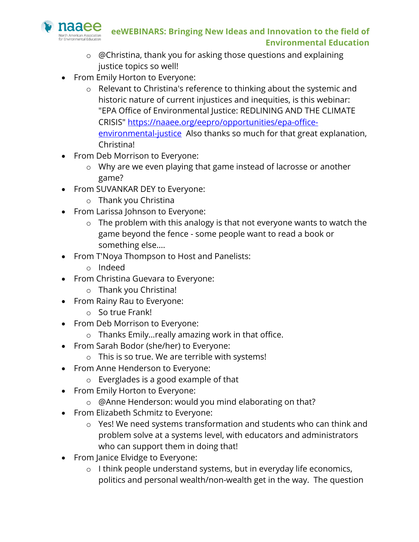

- o @Christina, thank you for asking those questions and explaining justice topics so well!
- From Emily Horton to Everyone:
	- o Relevant to Christina's reference to thinking about the systemic and historic nature of current injustices and inequities, is this webinar: "EPA Office of Environmental Justice: REDLINING AND THE CLIMATE CRISIS" https://naaee.org/eepro/opportunities/epa-officeenvironmental-justice Also thanks so much for that great explanation, Christina!
- From Deb Morrison to Everyone:
	- o Why are we even playing that game instead of lacrosse or another game?
- From SUVANKAR DEY to Everyone:
	- o Thank you Christina
- From Larissa Johnson to Everyone:
	- o The problem with this analogy is that not everyone wants to watch the game beyond the fence - some people want to read a book or something else....
- From T'Noya Thompson to Host and Panelists:
	- o Indeed
- From Christina Guevara to Everyone:
	- o Thank you Christina!
- From Rainy Rau to Everyone:
	- o So true Frank!
- From Deb Morrison to Everyone:
	- o Thanks Emily…really amazing work in that office.
- From Sarah Bodor (she/her) to Everyone:
	- o This is so true. We are terrible with systems!
- From Anne Henderson to Everyone:
	- o Everglades is a good example of that
- From Emily Horton to Everyone:
	- o @Anne Henderson: would you mind elaborating on that?
- From Elizabeth Schmitz to Everyone:
	- o Yes! We need systems transformation and students who can think and problem solve at a systems level, with educators and administrators who can support them in doing that!
- From Janice Elvidge to Everyone:
	- o I think people understand systems, but in everyday life economics, politics and personal wealth/non-wealth get in the way. The question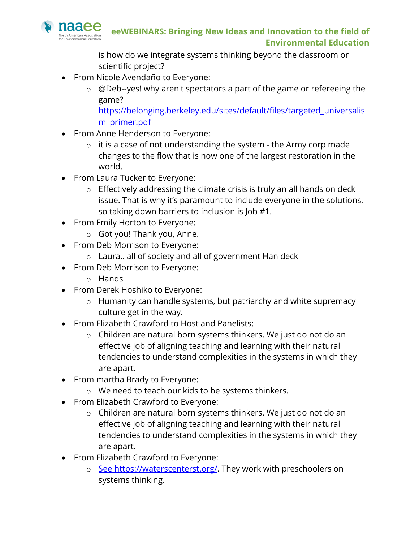

is how do we integrate systems thinking beyond the classroom or scientific project?

- From Nicole Avendaño to Everyone:
	- o @Deb--yes! why aren't spectators a part of the game or refereeing the game?

https://belonging.berkeley.edu/sites/default/files/targeted\_universalis m\_primer.pdf

- From Anne Henderson to Everyone:
	- o it is a case of not understanding the system the Army corp made changes to the flow that is now one of the largest restoration in the world.
- From Laura Tucker to Everyone:
	- o Effectively addressing the climate crisis is truly an all hands on deck issue. That is why it's paramount to include everyone in the solutions, so taking down barriers to inclusion is Job #1.
- From Emily Horton to Everyone:
	- o Got you! Thank you, Anne.
- From Deb Morrison to Everyone:
	- o Laura.. all of society and all of government Han deck
- From Deb Morrison to Everyone:
	- o Hands
- From Derek Hoshiko to Everyone:
	- o Humanity can handle systems, but patriarchy and white supremacy culture get in the way.
- From Elizabeth Crawford to Host and Panelists:
	- o Children are natural born systems thinkers. We just do not do an effective job of aligning teaching and learning with their natural tendencies to understand complexities in the systems in which they are apart.
- From martha Brady to Everyone:
	- o We need to teach our kids to be systems thinkers.
- From Elizabeth Crawford to Everyone:
	- o Children are natural born systems thinkers. We just do not do an effective job of aligning teaching and learning with their natural tendencies to understand complexities in the systems in which they are apart.
- From Elizabeth Crawford to Everyone:
	- o See https://waterscenterst.org/. They work with preschoolers on systems thinking.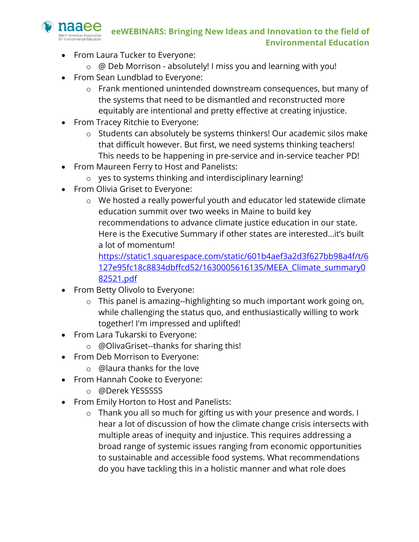

- From Laura Tucker to Everyone:
	- o @ Deb Morrison absolutely! I miss you and learning with you!
- From Sean Lundblad to Everyone:
	- o Frank mentioned unintended downstream consequences, but many of the systems that need to be dismantled and reconstructed more equitably are intentional and pretty effective at creating injustice.
- From Tracey Ritchie to Everyone:
	- o Students can absolutely be systems thinkers! Our academic silos make that difficult however. But first, we need systems thinking teachers! This needs to be happening in pre-service and in-service teacher PD!
- From Maureen Ferry to Host and Panelists:
	- o yes to systems thinking and interdisciplinary learning!
- From Olivia Griset to Everyone:
	- o We hosted a really powerful youth and educator led statewide climate education summit over two weeks in Maine to build key recommendations to advance climate justice education in our state. Here is the Executive Summary if other states are interested…it's built a lot of momentum!

https://static1.squarespace.com/static/601b4aef3a2d3f627bb98a4f/t/6 127e95fc18c8834dbffcd52/1630005616135/MEEA\_Climate\_summary0 82521.pdf

- From Betty Olivolo to Everyone:
	- o This panel is amazing--highlighting so much important work going on, while challenging the status quo, and enthusiastically willing to work together! I'm impressed and uplifted!
- From Lara Tukarski to Everyone:
	- o @OlivaGriset--thanks for sharing this!
- From Deb Morrison to Everyone:
	- o @laura thanks for the love
- From Hannah Cooke to Everyone:
	- o @Derek YESSSSS
- From Emily Horton to Host and Panelists:
	- o Thank you all so much for gifting us with your presence and words. I hear a lot of discussion of how the climate change crisis intersects with multiple areas of inequity and injustice. This requires addressing a broad range of systemic issues ranging from economic opportunities to sustainable and accessible food systems. What recommendations do you have tackling this in a holistic manner and what role does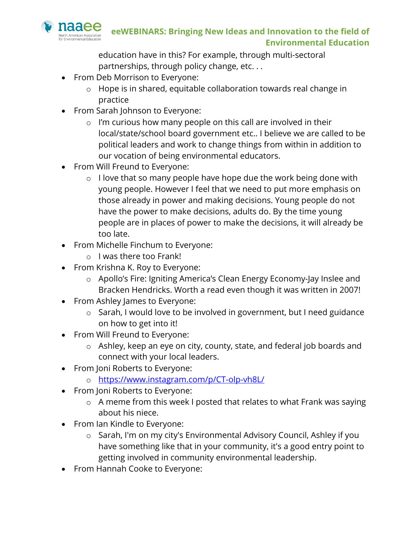

education have in this? For example, through multi-sectoral partnerships, through policy change, etc. . .

- From Deb Morrison to Everyone:
	- o Hope is in shared, equitable collaboration towards real change in practice
- From Sarah Johnson to Everyone:
	- $\circ$  I'm curious how many people on this call are involved in their local/state/school board government etc.. I believe we are called to be political leaders and work to change things from within in addition to our vocation of being environmental educators.
- From Will Freund to Everyone:
	- $\circ$  I love that so many people have hope due the work being done with young people. However I feel that we need to put more emphasis on those already in power and making decisions. Young people do not have the power to make decisions, adults do. By the time young people are in places of power to make the decisions, it will already be too late.
- From Michelle Finchum to Everyone:
	- o I was there too Frank!
- From Krishna K. Roy to Everyone:
	- o Apollo's Fire: Igniting America's Clean Energy Economy-Jay Inslee and Bracken Hendricks. Worth a read even though it was written in 2007!
- From Ashley James to Everyone:
	- o Sarah, I would love to be involved in government, but I need guidance on how to get into it!
- From Will Freund to Everyone:
	- o Ashley, keep an eye on city, county, state, and federal job boards and connect with your local leaders.
- From Joni Roberts to Everyone:
	- o https://www.instagram.com/p/CT-olp-vh8L/
- From Joni Roberts to Everyone:
	- o A meme from this week I posted that relates to what Frank was saying about his niece.
- From Ian Kindle to Everyone:
	- o Sarah, I'm on my city's Environmental Advisory Council, Ashley if you have something like that in your community, it's a good entry point to getting involved in community environmental leadership.
- From Hannah Cooke to Everyone: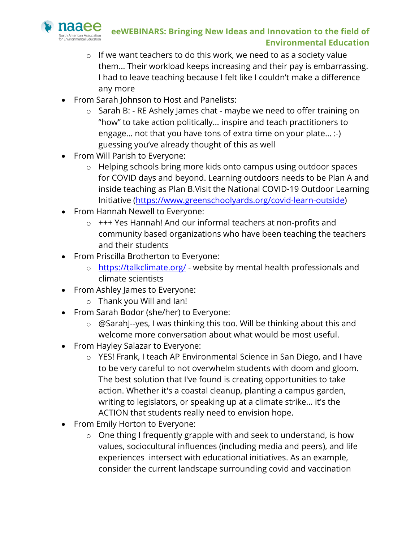![](_page_26_Picture_0.jpeg)

- o If we want teachers to do this work, we need to as a society value them… Their workload keeps increasing and their pay is embarrassing. I had to leave teaching because I felt like I couldn't make a difference any more
- From Sarah Johnson to Host and Panelists:
	- o Sarah B: RE Ashely James chat maybe we need to offer training on "how" to take action politically… inspire and teach practitioners to engage… not that you have tons of extra time on your plate… :-) guessing you've already thought of this as well
- From Will Parish to Everyone:
	- o Helping schools bring more kids onto campus using outdoor spaces for COVID days and beyond. Learning outdoors needs to be Plan A and inside teaching as Plan B.Visit the National COVID-19 Outdoor Learning Initiative (https://www.greenschoolyards.org/covid-learn-outside)
- From Hannah Newell to Everyone:
	- o +++ Yes Hannah! And our informal teachers at non-profits and community based organizations who have been teaching the teachers and their students
- From Priscilla Brotherton to Everyone:
	- o https://talkclimate.org/ website by mental health professionals and climate scientists
- From Ashley James to Everyone:
	- o Thank you Will and Ian!
- From Sarah Bodor (she/her) to Everyone:
	- o @SarahJ--yes, I was thinking this too. Will be thinking about this and welcome more conversation about what would be most useful.
- From Hayley Salazar to Everyone:
	- o YES! Frank, I teach AP Environmental Science in San Diego, and I have to be very careful to not overwhelm students with doom and gloom. The best solution that I've found is creating opportunities to take action. Whether it's a coastal cleanup, planting a campus garden, writing to legislators, or speaking up at a climate strike... it's the ACTION that students really need to envision hope.
- From Emily Horton to Everyone:
	- o One thing I frequently grapple with and seek to understand, is how values, sociocultural influences (including media and peers), and life experiences intersect with educational initiatives. As an example, consider the current landscape surrounding covid and vaccination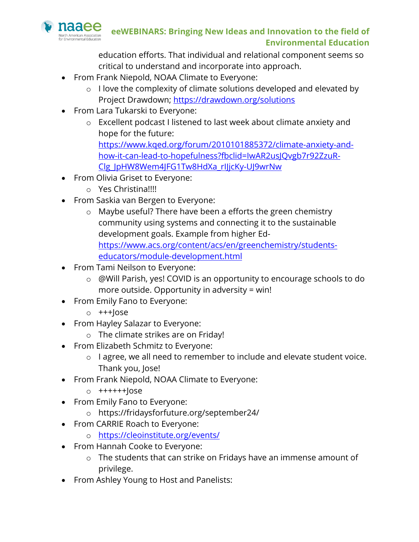![](_page_27_Picture_0.jpeg)

education efforts. That individual and relational component seems so critical to understand and incorporate into approach.

- From Frank Niepold, NOAA Climate to Everyone:
	- o I love the complexity of climate solutions developed and elevated by Project Drawdown; https://drawdown.org/solutions
- From Lara Tukarski to Everyone:
	- o Excellent podcast I listened to last week about climate anxiety and hope for the future: https://www.kqed.org/forum/2010101885372/climate-anxiety-andhow-it-can-lead-to-hopefulness?fbclid=IwAR2usJQvgb7r92ZzuR-Clg\_JpHW8Wem4JFG1Tw8HdXa\_rIJjcKy-UJ9wrNw
- From Olivia Griset to Everyone:
	- o Yes Christina!!!!
- From Saskia van Bergen to Everyone:
	- o Maybe useful? There have been a efforts the green chemistry community using systems and connecting it to the sustainable development goals. Example from higher Edhttps://www.acs.org/content/acs/en/greenchemistry/studentseducators/module-development.html
- From Tami Neilson to Everyone:
	- o @Will Parish, yes! COVID is an opportunity to encourage schools to do more outside. Opportunity in adversity = win!
- From Emily Fano to Everyone:
	- $o$  +++ $\vert$ ose
- From Hayley Salazar to Everyone:
	- o The climate strikes are on Friday!
- From Elizabeth Schmitz to Everyone:
	- o I agree, we all need to remember to include and elevate student voice. Thank you, Jose!
- From Frank Niepold, NOAA Climate to Everyone:
	- o ++++++Jose
- From Emily Fano to Everyone:
	- o https://fridaysforfuture.org/september24/
- From CARRIE Roach to Everyone:
	- o https://cleoinstitute.org/events/
- From Hannah Cooke to Everyone:
	- o The students that can strike on Fridays have an immense amount of privilege.
- From Ashley Young to Host and Panelists: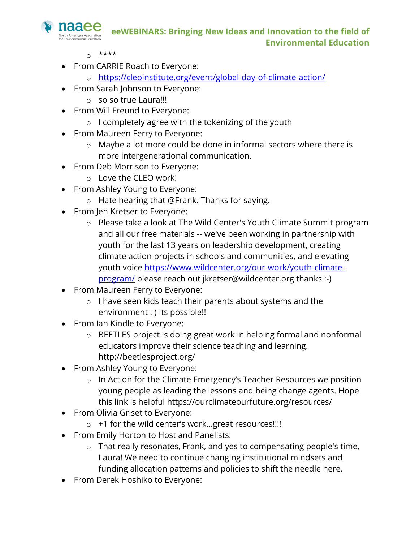![](_page_28_Picture_0.jpeg)

- $0$  \*\*\*\*
- From CARRIE Roach to Everyone:
	- o https://cleoinstitute.org/event/global-day-of-climate-action/
- From Sarah Johnson to Everyone:
	- o so so true Laura!!!
- From Will Freund to Everyone:
	- o I completely agree with the tokenizing of the youth
- From Maureen Ferry to Everyone:
	- o Maybe a lot more could be done in informal sectors where there is more intergenerational communication.
- From Deb Morrison to Everyone:
	- o Love the CLEO work!
- From Ashley Young to Everyone:
	- o Hate hearing that @Frank. Thanks for saying.
- From Jen Kretser to Everyone:
	- o Please take a look at The Wild Center's Youth Climate Summit program and all our free materials -- we've been working in partnership with youth for the last 13 years on leadership development, creating climate action projects in schools and communities, and elevating youth voice https://www.wildcenter.org/our-work/youth-climateprogram/ please reach out jkretser@wildcenter.org thanks :-)
- From Maureen Ferry to Everyone:
	- o I have seen kids teach their parents about systems and the environment : ) Its possible!!
- From Ian Kindle to Everyone:
	- o BEETLES project is doing great work in helping formal and nonformal educators improve their science teaching and learning. http://beetlesproject.org/
- From Ashley Young to Everyone:
	- o In Action for the Climate Emergency's Teacher Resources we position young people as leading the lessons and being change agents. Hope this link is helpful https://ourclimateourfuture.org/resources/
- From Olivia Griset to Everyone:
	- o +1 for the wild center's work…great resources!!!!
- From Emily Horton to Host and Panelists:
	- o That really resonates, Frank, and yes to compensating people's time, Laura! We need to continue changing institutional mindsets and funding allocation patterns and policies to shift the needle here.
- From Derek Hoshiko to Everyone: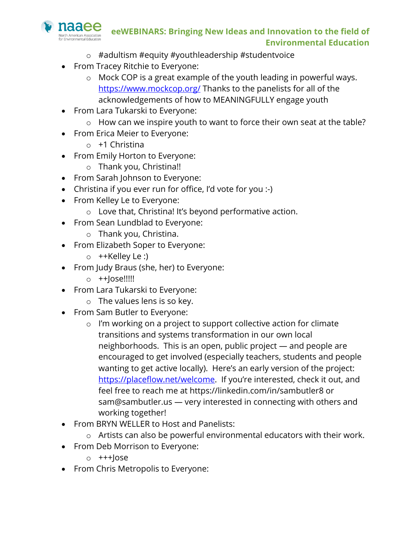![](_page_29_Picture_0.jpeg)

- o #adultism #equity #youthleadership #studentvoice
- From Tracey Ritchie to Everyone:
	- o Mock COP is a great example of the youth leading in powerful ways. https://www.mockcop.org/ Thanks to the panelists for all of the acknowledgements of how to MEANINGFULLY engage youth
- From Lara Tukarski to Everyone:
	- o How can we inspire youth to want to force their own seat at the table?
- From Erica Meier to Everyone:
	- $\circ$  +1 Christina
- From Emily Horton to Everyone:
	- o Thank you, Christina!!
- From Sarah Johnson to Everyone:
- Christina if you ever run for office, I'd vote for you :-)
- From Kelley Le to Everyone:
	- o Love that, Christina! It's beyond performative action.
- From Sean Lundblad to Everyone:
	- o Thank you, Christina.
- From Elizabeth Soper to Everyone:
	- o ++Kelley Le :)
- From Judy Braus (she, her) to Everyone:
	- o ++Jose!!!!!
- From Lara Tukarski to Everyone:
	- o The values lens is so key.
- From Sam Butler to Everyone:
	- o I'm working on a project to support collective action for climate transitions and systems transformation in our own local neighborhoods. This is an open, public project — and people are encouraged to get involved (especially teachers, students and people wanting to get active locally). Here's an early version of the project: https://placeflow.net/welcome. If you're interested, check it out, and feel free to reach me at https://linkedin.com/in/sambutler8 or sam@sambutler.us — very interested in connecting with others and working together!
- From BRYN WELLER to Host and Panelists:
	- o Artists can also be powerful environmental educators with their work.
- From Deb Morrison to Everyone:
	- $o$  +++ $\log e$
- From Chris Metropolis to Everyone: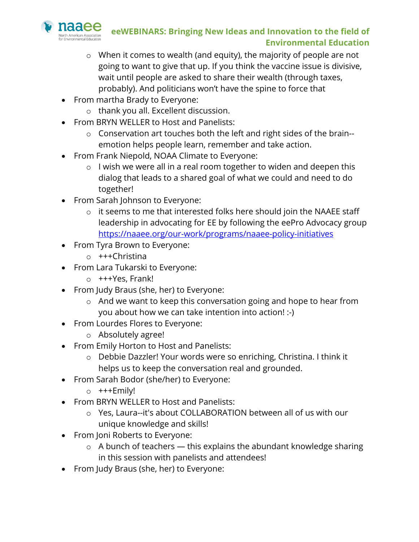![](_page_30_Picture_0.jpeg)

- o When it comes to wealth (and equity), the majority of people are not going to want to give that up. If you think the vaccine issue is divisive, wait until people are asked to share their wealth (through taxes, probably). And politicians won't have the spine to force that
- From martha Brady to Everyone:
	- o thank you all. Excellent discussion.
- From BRYN WELLER to Host and Panelists:
	- o Conservation art touches both the left and right sides of the brain- emotion helps people learn, remember and take action.
- From Frank Niepold, NOAA Climate to Everyone:
	- $\circ$  I wish we were all in a real room together to widen and deepen this dialog that leads to a shared goal of what we could and need to do together!
- From Sarah Johnson to Everyone:
	- o it seems to me that interested folks here should join the NAAEE staff leadership in advocating for EE by following the eePro Advocacy group https://naaee.org/our-work/programs/naaee-policy-initiatives
- From Tyra Brown to Everyone:
	- o +++Christina
- From Lara Tukarski to Everyone:
	- o +++Yes, Frank!
- From Judy Braus (she, her) to Everyone:
	- o And we want to keep this conversation going and hope to hear from you about how we can take intention into action! :-)
- From Lourdes Flores to Everyone:
	- o Absolutely agree!
- From Emily Horton to Host and Panelists:
	- o Debbie Dazzler! Your words were so enriching, Christina. I think it helps us to keep the conversation real and grounded.
- From Sarah Bodor (she/her) to Everyone:
	- o +++Emily!
- From BRYN WELLER to Host and Panelists:
	- o Yes, Laura--it's about COLLABORATION between all of us with our unique knowledge and skills!
- From Joni Roberts to Everyone:
	- $\circ$  A bunch of teachers this explains the abundant knowledge sharing in this session with panelists and attendees!
- From Judy Braus (she, her) to Everyone: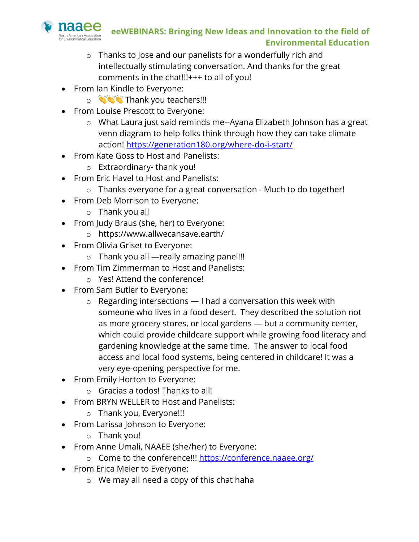![](_page_31_Picture_0.jpeg)

- o Thanks to Jose and our panelists for a wonderfully rich and intellectually stimulating conversation. And thanks for the great comments in the chat!!!+++ to all of you!
- From Ian Kindle to Everyone:
	- o **Thank you teachers!!!**
- From Louise Prescott to Everyone:
	- o What Laura just said reminds me--Ayana Elizabeth Johnson has a great venn diagram to help folks think through how they can take climate action! https://generation180.org/where-do-i-start/
- From Kate Goss to Host and Panelists:
	- o Extraordinary- thank you!
- From Eric Havel to Host and Panelists:
	- o Thanks everyone for a great conversation Much to do together!
- From Deb Morrison to Everyone:
	- o Thank you all
- From Judy Braus (she, her) to Everyone:
	- o https://www.allwecansave.earth/
- From Olivia Griset to Everyone:
	- o Thank you all —really amazing panel!!!
- From Tim Zimmerman to Host and Panelists:
	- o Yes! Attend the conference!
- From Sam Butler to Everyone:
	- $\circ$  Regarding intersections  $-$  I had a conversation this week with someone who lives in a food desert. They described the solution not as more grocery stores, or local gardens — but a community center, which could provide childcare support while growing food literacy and gardening knowledge at the same time. The answer to local food access and local food systems, being centered in childcare! It was a very eye-opening perspective for me.
- From Emily Horton to Everyone:
	- o Gracias a todos! Thanks to all!
- From BRYN WELLER to Host and Panelists:
	- o Thank you, Everyone!!!
- From Larissa Johnson to Everyone:
	- o Thank you!
- From Anne Umali, NAAEE (she/her) to Everyone:
	- o Come to the conference!!! https://conference.naaee.org/
- From Erica Meier to Everyone:
	- o We may all need a copy of this chat haha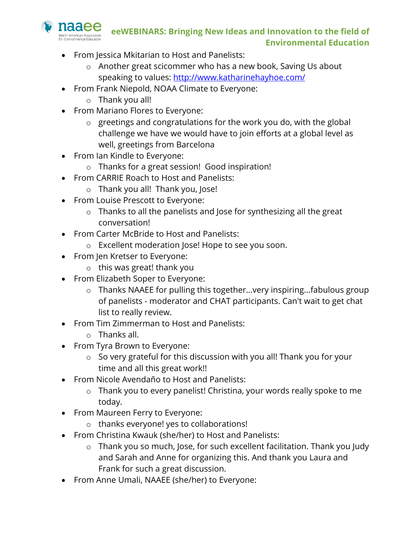![](_page_32_Picture_0.jpeg)

- From Jessica Mkitarian to Host and Panelists:
	- o Another great scicommer who has a new book, Saving Us about speaking to values: http://www.katharinehayhoe.com/
- From Frank Niepold, NOAA Climate to Everyone:
	- o Thank you all!
- From Mariano Flores to Everyone:
	- o greetings and congratulations for the work you do, with the global challenge we have we would have to join efforts at a global level as well, greetings from Barcelona
- From Ian Kindle to Everyone:
	- o Thanks for a great session! Good inspiration!
- From CARRIE Roach to Host and Panelists:
	- o Thank you all! Thank you, Jose!
- From Louise Prescott to Everyone:
	- o Thanks to all the panelists and Jose for synthesizing all the great conversation!
- From Carter McBride to Host and Panelists:
	- o Excellent moderation Jose! Hope to see you soon.
- From Jen Kretser to Everyone:
	- o this was great! thank you
- From Elizabeth Soper to Everyone:
	- o Thanks NAAEE for pulling this together...very inspiring...fabulous group of panelists - moderator and CHAT participants. Can't wait to get chat list to really review.
- From Tim Zimmerman to Host and Panelists:
	- o Thanks all.
- From Tyra Brown to Everyone:
	- o So very grateful for this discussion with you all! Thank you for your time and all this great work!!
- From Nicole Avendaño to Host and Panelists:
	- o Thank you to every panelist! Christina, your words really spoke to me today.
- From Maureen Ferry to Everyone:
	- o thanks everyone! yes to collaborations!
- From Christina Kwauk (she/her) to Host and Panelists:
	- o Thank you so much, Jose, for such excellent facilitation. Thank you Judy and Sarah and Anne for organizing this. And thank you Laura and Frank for such a great discussion.
- From Anne Umali, NAAEE (she/her) to Everyone: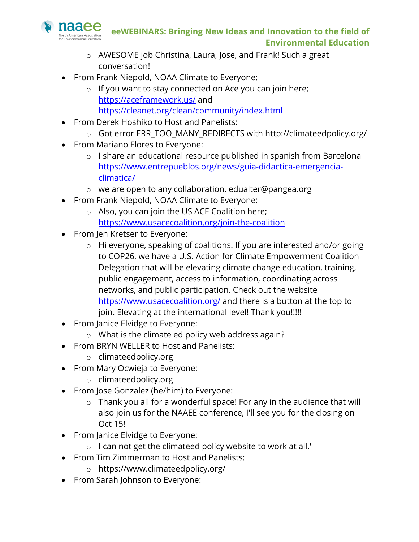![](_page_33_Picture_0.jpeg)

- o AWESOME job Christina, Laura, Jose, and Frank! Such a great conversation!
- From Frank Niepold, NOAA Climate to Everyone:
	- o If you want to stay connected on Ace you can join here; https://aceframework.us/ and https://cleanet.org/clean/community/index.html
- From Derek Hoshiko to Host and Panelists:
	- o Got error ERR\_TOO\_MANY\_REDIRECTS with http://climateedpolicy.org/
- From Mariano Flores to Everyone:
	- o I share an educational resource published in spanish from Barcelona https://www.entrepueblos.org/news/guia-didactica-emergenciaclimatica/
	- o we are open to any collaboration. edualter@pangea.org
- From Frank Niepold, NOAA Climate to Everyone:
	- o Also, you can join the US ACE Coalition here; https://www.usacecoalition.org/join-the-coalition
- From Jen Kretser to Everyone:
	- o Hi everyone, speaking of coalitions. If you are interested and/or going to COP26, we have a U.S. Action for Climate Empowerment Coalition Delegation that will be elevating climate change education, training, public engagement, access to information, coordinating across networks, and public participation. Check out the website https://www.usacecoalition.org/ and there is a button at the top to join. Elevating at the international level! Thank you!!!!!
- From Janice Elvidge to Everyone:
	- o What is the climate ed policy web address again?
- From BRYN WELLER to Host and Panelists:
	- o climateedpolicy.org
- From Mary Ocwieja to Everyone:
	- o climateedpolicy.org
- From Jose Gonzalez (he/him) to Everyone:
	- o Thank you all for a wonderful space! For any in the audience that will also join us for the NAAEE conference, I'll see you for the closing on Oct 15!
- From Janice Elvidge to Everyone:
	- o I can not get the climateed policy website to work at all.'
- From Tim Zimmerman to Host and Panelists:
	- o https://www.climateedpolicy.org/
- From Sarah Johnson to Everyone: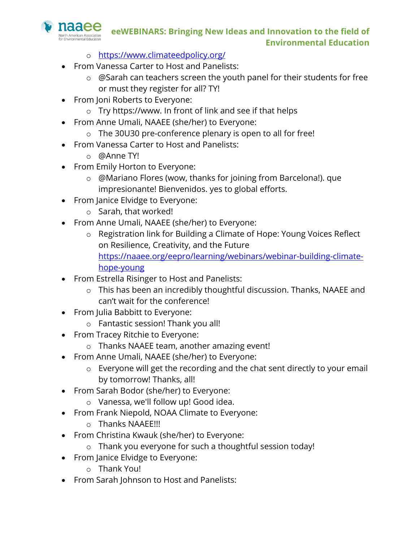naaee **Jorth American Association** 

- o https://www.climateedpolicy.org/
- From Vanessa Carter to Host and Panelists:
	- o @Sarah can teachers screen the youth panel for their students for free or must they register for all? TY!
- From Joni Roberts to Everyone:
	- o Try https://www. In front of link and see if that helps
- From Anne Umali, NAAEE (she/her) to Everyone:
- o The 30U30 pre-conference plenary is open to all for free!
- From Vanessa Carter to Host and Panelists:
	- o @Anne TY!
- From Emily Horton to Everyone:
	- o @Mariano Flores (wow, thanks for joining from Barcelona!). que impresionante! Bienvenidos. yes to global efforts.
- From Janice Elvidge to Everyone:
	- o Sarah, that worked!
- From Anne Umali, NAAEE (she/her) to Everyone:
	- o Registration link for Building a Climate of Hope: Young Voices Reflect on Resilience, Creativity, and the Future https://naaee.org/eepro/learning/webinars/webinar-building-climatehope-young
- From Estrella Risinger to Host and Panelists:
	- o This has been an incredibly thoughtful discussion. Thanks, NAAEE and can't wait for the conference!
- From Julia Babbitt to Everyone:
	- o Fantastic session! Thank you all!
- From Tracey Ritchie to Everyone:
	- o Thanks NAAEE team, another amazing event!
- From Anne Umali, NAAEE (she/her) to Everyone:
	- o Everyone will get the recording and the chat sent directly to your email by tomorrow! Thanks, all!
- From Sarah Bodor (she/her) to Everyone:
	- o Vanessa, we'll follow up! Good idea.
- From Frank Niepold, NOAA Climate to Everyone:
	- o Thanks NAAEE!!!
- From Christina Kwauk (she/her) to Everyone:
	- o Thank you everyone for such a thoughtful session today!
- From Janice Elvidge to Everyone:
	- o Thank You!
- From Sarah Johnson to Host and Panelists: